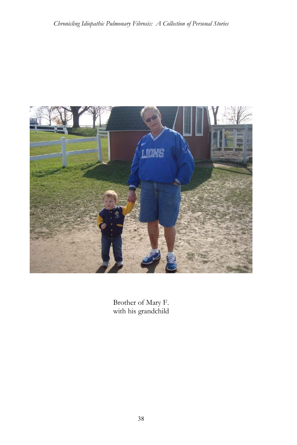

Brother of Mary F. with his grandchild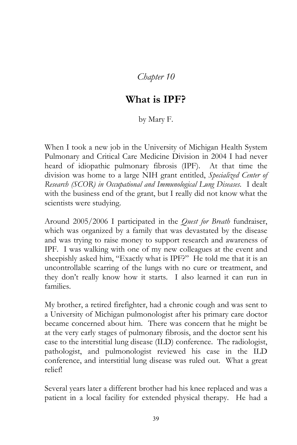## *Chapter 10*

## **What is IPF?**

## by Mary F.

When I took a new job in the University of Michigan Health System Pulmonary and Critical Care Medicine Division in 2004 I had never heard of idiopathic pulmonary fibrosis (IPF). At that time the division was home to a large NIH grant entitled, *Specialized Center of Research (SCOR) in Occupational and Immunological Lung Diseases*. I dealt with the business end of the grant, but I really did not know what the scientists were studying.

Around 2005/2006 I participated in the *Quest for Breath* fundraiser, which was organized by a family that was devastated by the disease and was trying to raise money to support research and awareness of IPF. I was walking with one of my new colleagues at the event and sheepishly asked him, "Exactly what is IPF?" He told me that it is an uncontrollable scarring of the lungs with no cure or treatment, and they don't really know how it starts. I also learned it can run in families.

My brother, a retired firefighter, had a chronic cough and was sent to a University of Michigan pulmonologist after his primary care doctor became concerned about him. There was concern that he might be at the very early stages of pulmonary fibrosis, and the doctor sent his case to the interstitial lung disease (ILD) conference. The radiologist, pathologist, and pulmonologist reviewed his case in the ILD conference, and interstitial lung disease was ruled out. What a great relief!

Several years later a different brother had his knee replaced and was a patient in a local facility for extended physical therapy. He had a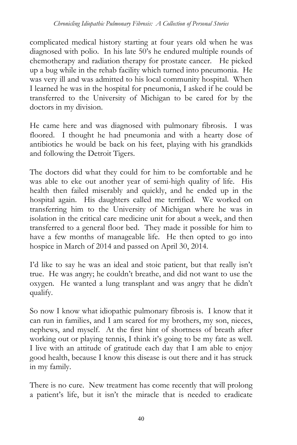complicated medical history starting at four years old when he was diagnosed with polio. In his late 50's he endured multiple rounds of chemotherapy and radiation therapy for prostate cancer. He picked up a bug while in the rehab facility which turned into pneumonia. He was very ill and was admitted to his local community hospital. When I learned he was in the hospital for pneumonia, I asked if he could be transferred to the University of Michigan to be cared for by the doctors in my division.

He came here and was diagnosed with pulmonary fibrosis. I was floored. I thought he had pneumonia and with a hearty dose of antibiotics he would be back on his feet, playing with his grandkids and following the Detroit Tigers.

The doctors did what they could for him to be comfortable and he was able to eke out another year of semi-high quality of life. His health then failed miserably and quickly, and he ended up in the hospital again. His daughters called me terrified. We worked on transferring him to the University of Michigan where he was in isolation in the critical care medicine unit for about a week, and then transferred to a general floor bed. They made it possible for him to have a few months of manageable life. He then opted to go into hospice in March of 2014 and passed on April 30, 2014.

I'd like to say he was an ideal and stoic patient, but that really isn't true. He was angry; he couldn't breathe, and did not want to use the oxygen. He wanted a lung transplant and was angry that he didn't qualify.

So now I know what idiopathic pulmonary fibrosis is. I know that it can run in families, and I am scared for my brothers, my son, nieces, nephews, and myself. At the first hint of shortness of breath after working out or playing tennis, I think it's going to be my fate as well. I live with an attitude of gratitude each day that I am able to enjoy good health, because I know this disease is out there and it has struck in my family.

There is no cure. New treatment has come recently that will prolong a patient's life, but it isn't the miracle that is needed to eradicate